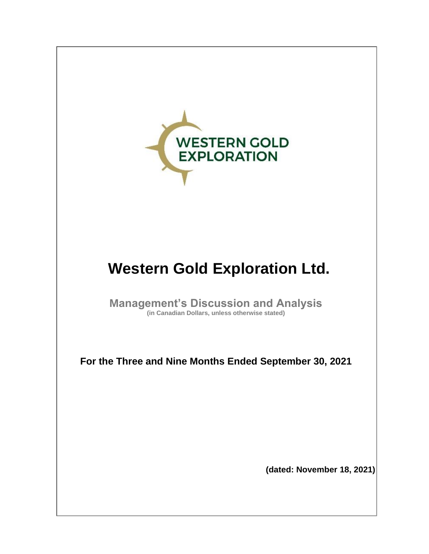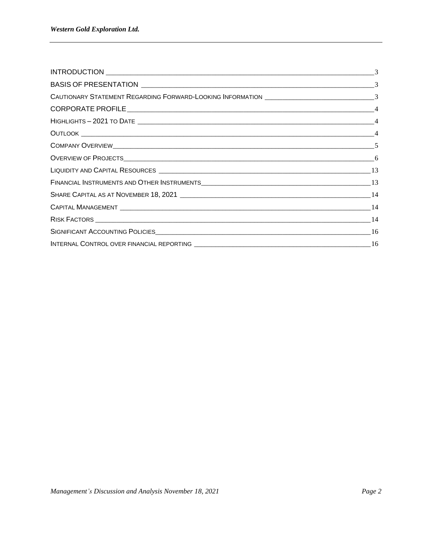| CAUTIONARY STATEMENT REGARDING FORWARD-LOOKING INFORMATION __________________________________3 |  |
|------------------------------------------------------------------------------------------------|--|
|                                                                                                |  |
|                                                                                                |  |
|                                                                                                |  |
|                                                                                                |  |
|                                                                                                |  |
|                                                                                                |  |
|                                                                                                |  |
|                                                                                                |  |
|                                                                                                |  |
|                                                                                                |  |
|                                                                                                |  |
|                                                                                                |  |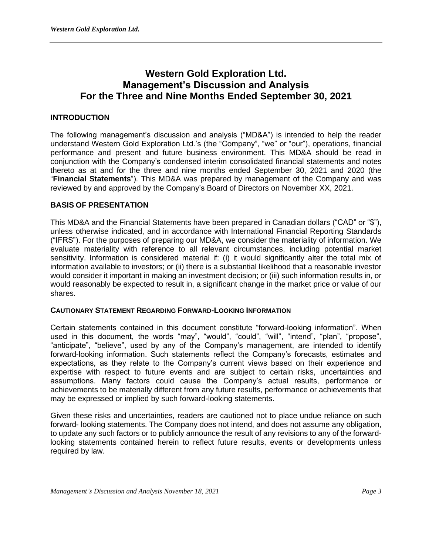# **Western Gold Exploration Ltd. Management's Discussion and Analysis For the Three and Nine Months Ended September 30, 2021**

# **INTRODUCTION**

The following management's discussion and analysis ("MD&A") is intended to help the reader understand Western Gold Exploration Ltd.'s (the "Company", "we" or "our"), operations, financial performance and present and future business environment. This MD&A should be read in conjunction with the Company's condensed interim consolidated financial statements and notes thereto as at and for the three and nine months ended September 30, 2021 and 2020 (the "**Financial Statements**"). This MD&A was prepared by management of the Company and was reviewed by and approved by the Company's Board of Directors on November XX, 2021.

## **BASIS OF PRESENTATION**

This MD&A and the Financial Statements have been prepared in Canadian dollars ("CAD" or "\$"), unless otherwise indicated, and in accordance with International Financial Reporting Standards ("IFRS"). For the purposes of preparing our MD&A, we consider the materiality of information. We evaluate materiality with reference to all relevant circumstances, including potential market sensitivity. Information is considered material if: (i) it would significantly alter the total mix of information available to investors; or (ii) there is a substantial likelihood that a reasonable investor would consider it important in making an investment decision; or (iii) such information results in, or would reasonably be expected to result in, a significant change in the market price or value of our shares.

## **CAUTIONARY STATEMENT REGARDING FORWARD-LOOKING INFORMATION**

Certain statements contained in this document constitute "forward-looking information". When used in this document, the words "may", "would", "could", "will", "intend", "plan", "propose", "anticipate", "believe", used by any of the Company's management, are intended to identify forward-looking information. Such statements reflect the Company's forecasts, estimates and expectations, as they relate to the Company's current views based on their experience and expertise with respect to future events and are subject to certain risks, uncertainties and assumptions. Many factors could cause the Company's actual results, performance or achievements to be materially different from any future results, performance or achievements that may be expressed or implied by such forward-looking statements.

Given these risks and uncertainties, readers are cautioned not to place undue reliance on such forward- looking statements. The Company does not intend, and does not assume any obligation, to update any such factors or to publicly announce the result of any revisions to any of the forwardlooking statements contained herein to reflect future results, events or developments unless required by law.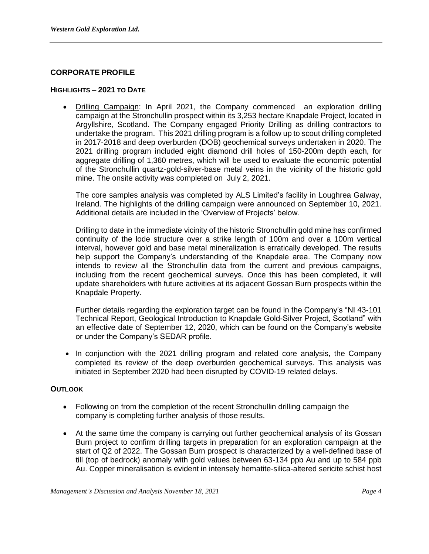# **CORPORATE PROFILE**

#### **HIGHLIGHTS – 2021 TO DATE**

• Drilling Campaign: In April 2021, the Company commenced an exploration drilling campaign at the Stronchullin prospect within its 3,253 hectare Knapdale Project, located in Argyllshire, Scotland. The Company engaged Priority Drilling as drilling contractors to undertake the program. This 2021 drilling program is a follow up to scout drilling completed in 2017‐2018 and deep overburden (DOB) geochemical surveys undertaken in 2020. The 2021 drilling program included eight diamond drill holes of 150-200m depth each, for aggregate drilling of 1,360 metres, which will be used to evaluate the economic potential of the Stronchullin quartz-gold-silver-base metal veins in the vicinity of the historic gold mine. The onsite activity was completed on July 2, 2021.

The core samples analysis was completed by ALS Limited's facility in Loughrea Galway, Ireland. The highlights of the drilling campaign were announced on September 10, 2021. Additional details are included in the 'Overview of Projects' below.

Drilling to date in the immediate vicinity of the historic Stronchullin gold mine has confirmed continuity of the lode structure over a strike length of 100m and over a 100m vertical interval, however gold and base metal mineralization is erratically developed. The results help support the Company's understanding of the Knapdale area. The Company now intends to review all the Stronchullin data from the current and previous campaigns, including from the recent geochemical surveys. Once this has been completed, it will update shareholders with future activities at its adjacent Gossan Burn prospects within the Knapdale Property.

Further details regarding the exploration target can be found in the Company's "NI 43-101 Technical Report, Geological Introduction to Knapdale Gold-Silver Project, Scotland" with an effective date of September 12, 2020, which can be found on the Company's website or under the Company's SEDAR profile.

• In conjunction with the 2021 drilling program and related core analysis, the Company completed its review of the deep overburden geochemical surveys. This analysis was initiated in September 2020 had been disrupted by COVID-19 related delays.

## **OUTLOOK**

- Following on from the completion of the recent Stronchullin drilling campaign the company is completing further analysis of those results.
- At the same time the company is carrying out further geochemical analysis of its Gossan Burn project to confirm drilling targets in preparation for an exploration campaign at the start of Q2 of 2022. The Gossan Burn prospect is characterized by a well-defined base of till (top of bedrock) anomaly with gold values between 63-134 ppb Au and up to 584 ppb Au. Copper mineralisation is evident in intensely hematite-silica-altered sericite schist host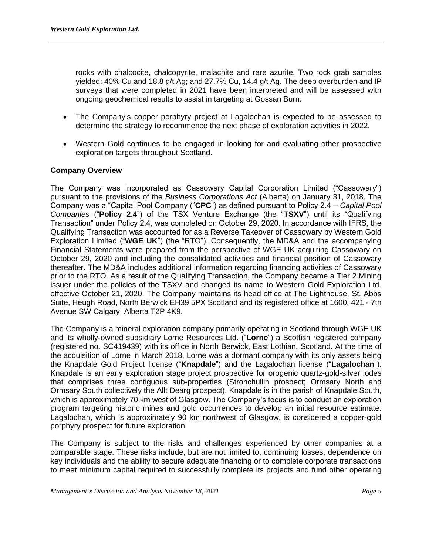rocks with chalcocite, chalcopyrite, malachite and rare azurite. Two rock grab samples yielded: 40% Cu and 18.8 g/t Ag; and 27.7% Cu, 14.4 g/t Ag. The deep overburden and IP surveys that were completed in 2021 have been interpreted and will be assessed with ongoing geochemical results to assist in targeting at Gossan Burn.

- The Company's copper porphyry project at Lagalochan is expected to be assessed to determine the strategy to recommence the next phase of exploration activities in 2022.
- Western Gold continues to be engaged in looking for and evaluating other prospective exploration targets throughout Scotland.

# **Company Overview**

The Company was incorporated as Cassowary Capital Corporation Limited ("Cassowary") pursuant to the provisions of the *Business Corporations Act* (Alberta) on January 31, 2018. The Company was a "Capital Pool Company ("**CPC**") as defined pursuant to Policy 2.4 – *Capital Pool Companies* ("**Policy 2.4**") of the TSX Venture Exchange (the "**TSXV**") until its "Qualifying Transaction" under Policy 2.4, was completed on October 29, 2020. In accordance with IFRS, the Qualifying Transaction was accounted for as a Reverse Takeover of Cassowary by Western Gold Exploration Limited ("**WGE UK**") (the "RTO"). Consequently, the MD&A and the accompanying Financial Statements were prepared from the perspective of WGE UK acquiring Cassowary on October 29, 2020 and including the consolidated activities and financial position of Cassowary thereafter. The MD&A includes additional information regarding financing activities of Cassowary prior to the RTO. As a result of the Qualifying Transaction, the Company became a Tier 2 Mining issuer under the policies of the TSXV and changed its name to Western Gold Exploration Ltd. effective October 21, 2020. The Company maintains its head office at The Lighthouse, St. Abbs Suite, Heugh Road, North Berwick EH39 5PX Scotland and its registered office at 1600, 421 - 7th Avenue SW Calgary, Alberta T2P 4K9.

The Company is a mineral exploration company primarily operating in Scotland through WGE UK and its wholly-owned subsidiary Lorne Resources Ltd. ("**Lorne**") a Scottish registered company (registered no. SC419439) with its office in North Berwick, East Lothian, Scotland. At the time of the acquisition of Lorne in March 2018, Lorne was a dormant company with its only assets being the Knapdale Gold Project license ("**Knapdale**") and the Lagalochan license ("**Lagalochan**"). Knapdale is an early exploration stage project prospective for orogenic quartz-gold-silver lodes that comprises three contiguous sub-properties (Stronchullin prospect; Ormsary North and Ormsary South collectively the Allt Dearg prospect). Knapdale is in the parish of Knapdale South, which is approximately 70 km west of Glasgow. The Company's focus is to conduct an exploration program targeting historic mines and gold occurrences to develop an initial resource estimate. Lagalochan, which is approximately 90 km northwest of Glasgow, is considered a copper-gold porphyry prospect for future exploration.

The Company is subject to the risks and challenges experienced by other companies at a comparable stage. These risks include, but are not limited to, continuing losses, dependence on key individuals and the ability to secure adequate financing or to complete corporate transactions to meet minimum capital required to successfully complete its projects and fund other operating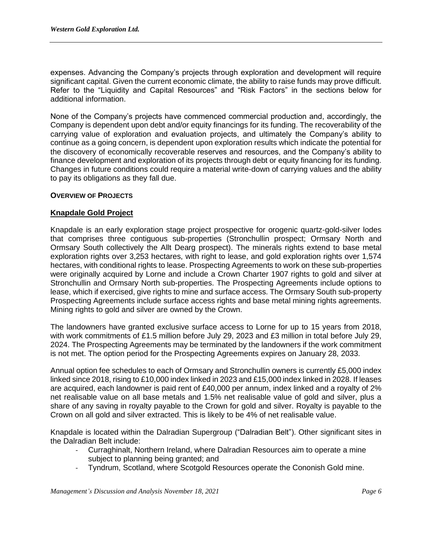expenses. Advancing the Company's projects through exploration and development will require significant capital. Given the current economic climate, the ability to raise funds may prove difficult. Refer to the "Liquidity and Capital Resources" and "Risk Factors" in the sections below for additional information.

None of the Company's projects have commenced commercial production and, accordingly, the Company is dependent upon debt and/or equity financings for its funding. The recoverability of the carrying value of exploration and evaluation projects, and ultimately the Company's ability to continue as a going concern, is dependent upon exploration results which indicate the potential for the discovery of economically recoverable reserves and resources, and the Company's ability to finance development and exploration of its projects through debt or equity financing for its funding. Changes in future conditions could require a material write-down of carrying values and the ability to pay its obligations as they fall due.

## **OVERVIEW OF PROJECTS**

## **Knapdale Gold Project**

Knapdale is an early exploration stage project prospective for orogenic quartz-gold-silver lodes that comprises three contiguous sub-properties (Stronchullin prospect; Ormsary North and Ormsary South collectively the Allt Dearg prospect). The minerals rights extend to base metal exploration rights over 3,253 hectares, with right to lease, and gold exploration rights over 1,574 hectares, with conditional rights to lease. Prospecting Agreements to work on these sub-properties were originally acquired by Lorne and include a Crown Charter 1907 rights to gold and silver at Stronchullin and Ormsary North sub-properties. The Prospecting Agreements include options to lease, which if exercised, give rights to mine and surface access. The Ormsary South sub-property Prospecting Agreements include surface access rights and base metal mining rights agreements. Mining rights to gold and silver are owned by the Crown.

The landowners have granted exclusive surface access to Lorne for up to 15 years from 2018, with work commitments of £1.5 million before July 29, 2023 and £3 million in total before July 29, 2024. The Prospecting Agreements may be terminated by the landowners if the work commitment is not met. The option period for the Prospecting Agreements expires on January 28, 2033.

Annual option fee schedules to each of Ormsary and Stronchullin owners is currently £5,000 index linked since 2018, rising to £10,000 index linked in 2023 and £15,000 index linked in 2028. If leases are acquired, each landowner is paid rent of £40,000 per annum, index linked and a royalty of 2% net realisable value on all base metals and 1.5% net realisable value of gold and silver, plus a share of any saving in royalty payable to the Crown for gold and silver. Royalty is payable to the Crown on all gold and silver extracted. This is likely to be 4% of net realisable value.

Knapdale is located within the Dalradian Supergroup ("Dalradian Belt"). Other significant sites in the Dalradian Belt include:

- Curraghinalt, Northern Ireland, where Dalradian Resources aim to operate a mine subject to planning being granted; and
- Tyndrum, Scotland, where Scotgold Resources operate the Cononish Gold mine.

*Management's Discussion and Analysis November 18, 2021 Page 6*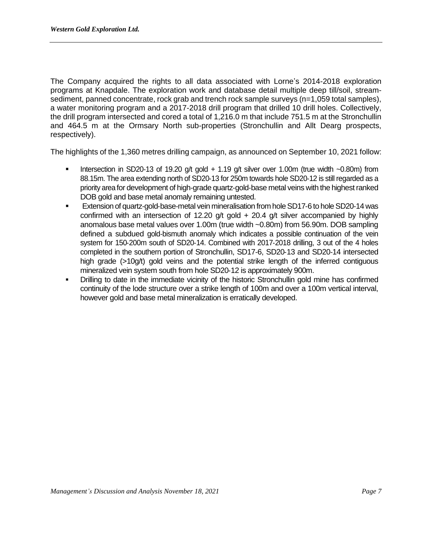The Company acquired the rights to all data associated with Lorne's 2014-2018 exploration programs at Knapdale. The exploration work and database detail multiple deep till/soil, streamsediment, panned concentrate, rock grab and trench rock sample surveys (n=1,059 total samples), a water monitoring program and a 2017-2018 drill program that drilled 10 drill holes. Collectively, the drill program intersected and cored a total of 1,216.0 m that include 751.5 m at the Stronchullin and 464.5 m at the Ormsary North sub-properties (Stronchullin and Allt Dearg prospects, respectively).

The highlights of the 1,360 metres drilling campaign, as announced on September 10, 2021 follow:

- Intersection in SD20-13 of 19.20 g/t gold + 1.19 g/t silver over 1.00m (true width ~0.80m) from 88.15m. The area extending north of SD20‐13 for 250m towards hole SD20‐12 is still regarded as a priority area for development of high‐grade quartz‐gold‐base metal veins with the highest ranked DOB gold and base metal anomaly remaining untested.
- Extension of quartz-gold-base-metal vein mineralisation from hole SD17-6 to hole SD20-14 was confirmed with an intersection of 12.20 g/t gold  $+$  20.4 g/t silver accompanied by highly anomalous base metal values over 1.00m (true width ~0.80m) from 56.90m. DOB sampling defined a subdued gold‐bismuth anomaly which indicates a possible continuation of the vein system for 150‐200m south of SD20‐14. Combined with 2017‐2018 drilling, 3 out of the 4 holes completed in the southern portion of Stronchullin, SD17‐6, SD20‐13 and SD20‐14 intersected high grade (>10g/t) gold veins and the potential strike length of the inferred contiguous mineralized vein system south from hole SD20‐12 is approximately 900m.
- Drilling to date in the immediate vicinity of the historic Stronchullin gold mine has confirmed continuity of the lode structure over a strike length of 100m and over a 100m vertical interval, however gold and base metal mineralization is erratically developed.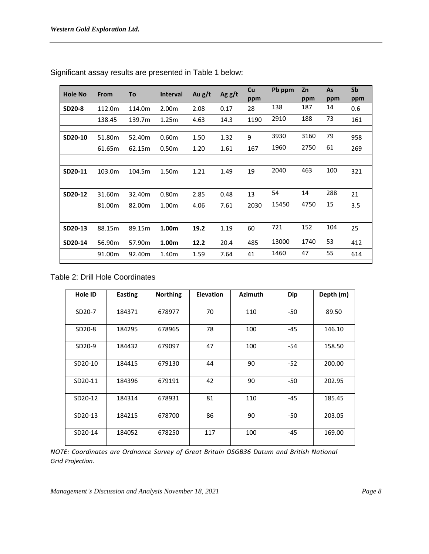| <b>Hole No</b> | From   | To     | <b>Interval</b> | Au $g/t$ | Ag $g/t$ | Cu<br>ppm | Pb ppm | Zn<br>ppm | <b>As</b><br>ppm | Sb<br>ppm |
|----------------|--------|--------|-----------------|----------|----------|-----------|--------|-----------|------------------|-----------|
| SD20-8         | 112.0m | 114.0m | 2.00m           | 2.08     | 0.17     | 28        | 138    | 187       | 14               | 0.6       |
|                | 138.45 | 139.7m | 1.25m           | 4.63     | 14.3     | 1190      | 2910   | 188       | 73               | 161       |
|                |        |        |                 |          |          |           |        |           |                  |           |
| SD20-10        | 51.80m | 52.40m | 0.60m           | 1.50     | 1.32     | 9         | 3930   | 3160      | 79               | 958       |
|                | 61.65m | 62.15m | 0.50m           | 1.20     | 1.61     | 167       | 1960   | 2750      | 61               | 269       |
|                |        |        |                 |          |          |           |        |           |                  |           |
| SD20-11        | 103.0m | 104.5m | 1.50m           | 1.21     | 1.49     | 19        | 2040   | 463       | 100              | 321       |
|                |        |        |                 |          |          |           |        |           |                  |           |
| SD20-12        | 31.60m | 32.40m | 0.80m           | 2.85     | 0.48     | 13        | 54     | 14        | 288              | 21        |
|                | 81.00m | 82.00m | 1.00m           | 4.06     | 7.61     | 2030      | 15450  | 4750      | 15               | 3.5       |
|                |        |        |                 |          |          |           |        |           |                  |           |
| SD20-13        | 88.15m | 89.15m | 1.00m           | 19.2     | 1.19     | 60        | 721    | 152       | 104              | 25        |
| SD20-14        | 56.90m | 57.90m | 1.00m           | 12.2     | 20.4     | 485       | 13000  | 1740      | 53               | 412       |
|                | 91.00m | 92.40m | 1.40m           | 1.59     | 7.64     | 41        | 1460   | 47        | 55               | 614       |
|                |        |        |                 |          |          |           |        |           |                  |           |

Significant assay results are presented in Table 1 below:

# Table 2: Drill Hole Coordinates

| Hole ID | Easting | <b>Northing</b> | <b>Elevation</b> | <b>Azimuth</b> | <b>Dip</b> | Depth (m) |
|---------|---------|-----------------|------------------|----------------|------------|-----------|
| SD20-7  | 184371  | 678977          | 70               | 110            | -50        | 89.50     |
| SD20-8  | 184295  | 678965          | 78               | 100            | -45        | 146.10    |
| SD20-9  | 184432  | 679097          | 47               | 100            | $-54$      | 158.50    |
| SD20-10 | 184415  | 679130          | 44               | 90             | $-52$      | 200.00    |
| SD20-11 | 184396  | 679191          | 42               | 90             | -50        | 202.95    |
| SD20-12 | 184314  | 678931          | 81               | 110            | -45        | 185.45    |
| SD20-13 | 184215  | 678700          | 86               | 90             | -50        | 203.05    |
| SD20-14 | 184052  | 678250          | 117              | 100            | -45        | 169.00    |

*NOTE: Coordinates are Ordnance Survey of Great Britain OSGB36 Datum and British National Grid Projection.* 

*Management's Discussion and Analysis November 18, 2021 Page 8*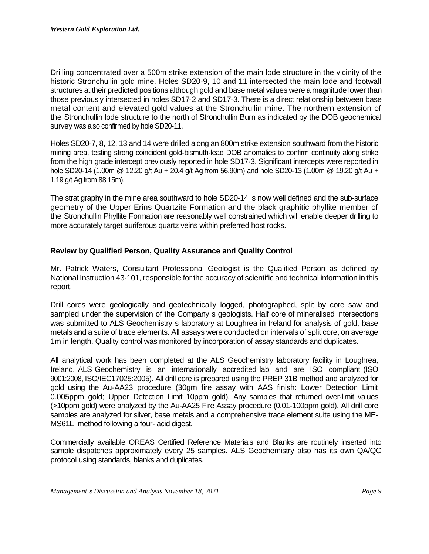Drilling concentrated over a 500m strike extension of the main lode structure in the vicinity of the historic Stronchullin gold mine. Holes SD20‐9, 10 and 11 intersected the main lode and footwall structures at their predicted positions although gold and base metal values were a magnitude lower than those previously intersected in holes SD17‐2 and SD17‐3. There is a direct relationship between base metal content and elevated gold values at the Stronchullin mine. The northern extension of the Stronchullin lode structure to the north of Stronchullin Burn as indicated by the DOB geochemical survey was also confirmed by hole SD20‐11.

Holes SD20-7, 8, 12, 13 and 14 were drilled along an 800m strike extension southward from the historic mining area, testing strong coincident gold‐bismuth‐lead DOB anomalies to confirm continuity along strike from the high grade intercept previously reported in hole SD17‐3. Significant intercepts were reported in hole SD20‐14 (1.00m @ 12.20 g/t Au + 20.4 g/t Ag from 56.90m) and hole SD20‐13 (1.00m @ 19.20 g/t Au + 1.19 g/t Ag from 88.15m).

The stratigraphy in the mine area southward to hole SD20‐14 is now well defined and the sub‐surface geometry of the Upper Erins Quartzite Formation and the black graphitic phyllite member of the Stronchullin Phyllite Formation are reasonably well constrained which will enable deeper drilling to more accurately target auriferous quartz veins within preferred host rocks.

# **Review by Qualified Person, Quality Assurance and Quality Control**

Mr. Patrick Waters, Consultant Professional Geologist is the Qualified Person as defined by National Instruction 43‐101, responsible for the accuracy of scientific and technical information in this report.

Drill cores were geologically and geotechnically logged, photographed, split by core saw and sampled under the supervision of the Company s geologists. Half core of mineralised intersections was submitted to ALS Geochemistry s laboratory at Loughrea in Ireland for analysis of gold, base metals and a suite of trace elements. All assays were conducted on intervals of split core, on average 1m in length. Quality control was monitored by incorporation of assay standards and duplicates.

All analytical work has been completed at the ALS Geochemistry laboratory facility in Loughrea, Ireland. ALS Geochemistry is an internationally accredited lab and are ISO compliant (ISO 9001:2008, ISO/IEC17025:2005). All drill core is prepared using the PREP 31B method and analyzed for gold using the Au‐AA23 procedure (30gm fire assay with AAS finish: Lower Detection Limit 0.005ppm gold; Upper Detection Limit 10ppm gold). Any samples that returned over-limit values (>10ppm gold) were analyzed by the Au‐AA25 Fire Assay procedure (0.01‐100ppm gold). All drill core samples are analyzed for silver, base metals and a comprehensive trace element suite using the ME‐ MS61L method following a four‐ acid digest.

Commercially available OREAS Certified Reference Materials and Blanks are routinely inserted into sample dispatches approximately every 25 samples. ALS Geochemistry also has its own QA/QC protocol using standards, blanks and duplicates.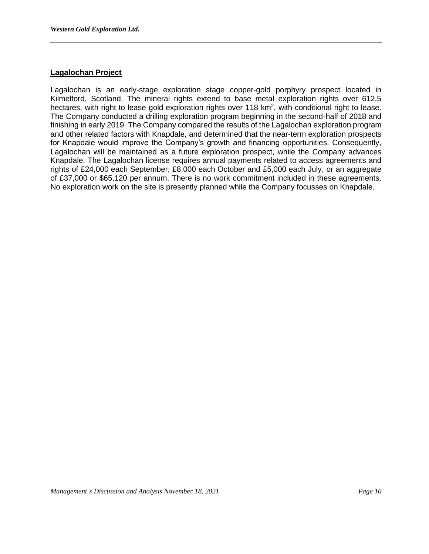# **Lagalochan Project**

Lagalochan is an early-stage exploration stage copper-gold porphyry prospect located in Kilmelford, Scotland. The mineral rights extend to base metal exploration rights over 612.5 hectares, with right to lease gold exploration rights over 118 km<sup>2</sup>, with conditional right to lease. The Company conducted a drilling exploration program beginning in the second-half of 2018 and finishing in early 2019. The Company compared the results of the Lagalochan exploration program and other related factors with Knapdale, and determined that the near-term exploration prospects for Knapdale would improve the Company's growth and financing opportunities. Consequently, Lagalochan will be maintained as a future exploration prospect, while the Company advances Knapdale. The Lagalochan license requires annual payments related to access agreements and rights of £24,000 each September; £8,000 each October and £5,000 each July, or an aggregate of £37,000 or \$65,120 per annum. There is no work commitment included in these agreements. No exploration work on the site is presently planned while the Company focusses on Knapdale.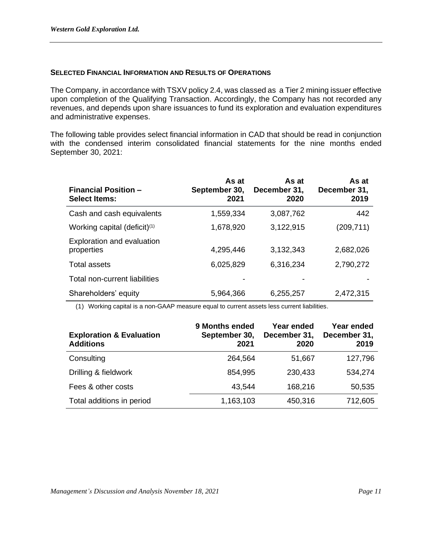#### **SELECTED FINANCIAL INFORMATION AND RESULTS OF OPERATIONS**

The Company, in accordance with TSXV policy 2.4, was classed as a Tier 2 mining issuer effective upon completion of the Qualifying Transaction. Accordingly, the Company has not recorded any revenues, and depends upon share issuances to fund its exploration and evaluation expenditures and administrative expenses.

The following table provides select financial information in CAD that should be read in conjunction with the condensed interim consolidated financial statements for the nine months ended September 30, 2021:

| <b>Financial Position -</b><br><b>Select Items:</b> | As at<br>September 30,<br>2021 | As at<br>December 31,<br>2020 | As at<br>December 31,<br>2019 |
|-----------------------------------------------------|--------------------------------|-------------------------------|-------------------------------|
| Cash and cash equivalents                           | 1,559,334                      | 3,087,762                     | 442                           |
| Working capital (deficit) <sup>(1)</sup>            | 1,678,920                      | 3,122,915                     | (209, 711)                    |
| Exploration and evaluation<br>properties            | 4,295,446                      | 3.132,343                     | 2,682,026                     |
| Total assets                                        | 6,025,829                      | 6,316,234                     | 2,790,272                     |
| Total non-current liabilities                       |                                |                               |                               |
| Shareholders' equity                                | 5,964,366                      | 6,255,257                     | 2,472,315                     |

(1) Working capital is a non-GAAP measure equal to current assets less current liabilities.

| <b>Exploration &amp; Evaluation</b><br><b>Additions</b> | 9 Months ended<br>September 30,<br>2021 | Year ended<br>December 31,<br>2020 | Year ended<br>December 31,<br>2019 |
|---------------------------------------------------------|-----------------------------------------|------------------------------------|------------------------------------|
| Consulting                                              | 264,564                                 | 51,667                             | 127,796                            |
| Drilling & fieldwork                                    | 854,995                                 | 230,433                            | 534,274                            |
| Fees & other costs                                      | 43,544                                  | 168,216                            | 50,535                             |
| Total additions in period                               | 1,163,103                               | 450,316                            | 712,605                            |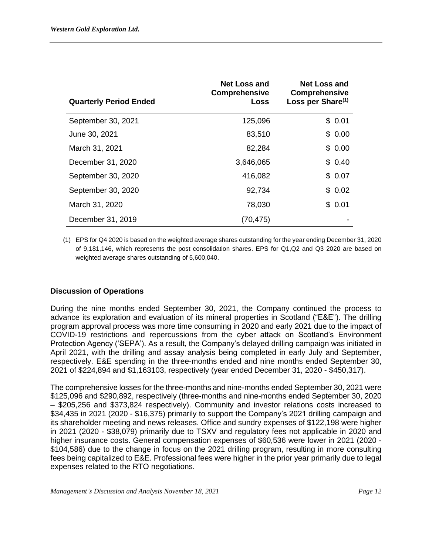| <b>Quarterly Period Ended</b> | <b>Net Loss and</b><br><b>Comprehensive</b><br>Loss | <b>Net Loss and</b><br><b>Comprehensive</b><br>Loss per Share <sup>(1)</sup> |
|-------------------------------|-----------------------------------------------------|------------------------------------------------------------------------------|
| September 30, 2021            | 125,096                                             | \$0.01                                                                       |
| June 30, 2021                 | 83,510                                              | \$0.00                                                                       |
| March 31, 2021                | 82,284                                              | \$0.00                                                                       |
| December 31, 2020             | 3,646,065                                           | \$0.40                                                                       |
| September 30, 2020            | 416,082                                             | \$0.07                                                                       |
| September 30, 2020            | 92,734                                              | 0.02<br>\$.                                                                  |
| March 31, 2020                | 78,030                                              | \$0.01                                                                       |
| December 31, 2019             | (70,475)                                            |                                                                              |

(1) EPS for Q4 2020 is based on the weighted average shares outstanding for the year ending December 31, 2020 of 9,181,146, which represents the post consolidation shares. EPS for Q1,Q2 and Q3 2020 are based on weighted average shares outstanding of 5,600,040.

# **Discussion of Operations**

During the nine months ended September 30, 2021, the Company continued the process to advance its exploration and evaluation of its mineral properties in Scotland ("E&E"). The drilling program approval process was more time consuming in 2020 and early 2021 due to the impact of COVID-19 restrictions and repercussions from the cyber attack on Scotland's Environment Protection Agency ('SEPA'). As a result, the Company's delayed drilling campaign was initiated in April 2021, with the drilling and assay analysis being completed in early July and September, respectively. E&E spending in the three-months ended and nine months ended September 30, 2021 of \$224,894 and \$1,163103, respectively (year ended December 31, 2020 - \$450,317).

The comprehensive losses for the three-months and nine-months ended September 30, 2021 were \$125,096 and \$290,892, respectively (three-months and nine-months ended September 30, 2020 – \$205,256 and \$373,824 respectively). Community and investor relations costs increased to \$34,435 in 2021 (2020 - \$16,375) primarily to support the Company's 2021 drilling campaign and its shareholder meeting and news releases. Office and sundry expenses of \$122,198 were higher in 2021 (2020 - \$38,079) primarily due to TSXV and regulatory fees not applicable in 2020 and higher insurance costs. General compensation expenses of \$60,536 were lower in 2021 (2020 - \$104,586) due to the change in focus on the 2021 drilling program, resulting in more consulting fees being capitalized to E&E. Professional fees were higher in the prior year primarily due to legal expenses related to the RTO negotiations.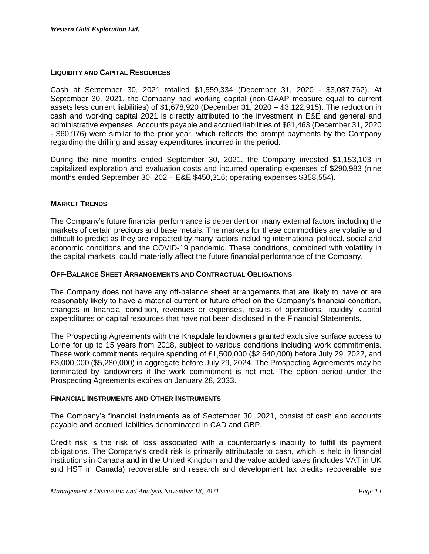## **LIQUIDITY AND CAPITAL RESOURCES**

Cash at September 30, 2021 totalled \$1,559,334 (December 31, 2020 - \$3,087,762). At September 30, 2021, the Company had working capital (non-GAAP measure equal to current assets less current liabilities) of \$1,678,920 (December 31, 2020 – \$3,122,915). The reduction in cash and working capital 2021 is directly attributed to the investment in E&E and general and administrative expenses. Accounts payable and accrued liabilities of \$61,463 (December 31, 2020 - \$60,976) were similar to the prior year, which reflects the prompt payments by the Company regarding the drilling and assay expenditures incurred in the period.

During the nine months ended September 30, 2021, the Company invested \$1,153,103 in capitalized exploration and evaluation costs and incurred operating expenses of \$290,983 (nine months ended September 30, 202 – E&E \$450,316; operating expenses \$358,554).

# **MARKET TRENDS**

The Company's future financial performance is dependent on many external factors including the markets of certain precious and base metals. The markets for these commodities are volatile and difficult to predict as they are impacted by many factors including international political, social and economic conditions and the COVID-19 pandemic. These conditions, combined with volatility in the capital markets, could materially affect the future financial performance of the Company.

# **OFF-BALANCE SHEET ARRANGEMENTS AND CONTRACTUAL OBLIGATIONS**

The Company does not have any off-balance sheet arrangements that are likely to have or are reasonably likely to have a material current or future effect on the Company's financial condition, changes in financial condition, revenues or expenses, results of operations, liquidity, capital expenditures or capital resources that have not been disclosed in the Financial Statements.

The Prospecting Agreements with the Knapdale landowners granted exclusive surface access to Lorne for up to 15 years from 2018, subject to various conditions including work commitments. These work commitments require spending of £1,500,000 (\$2,640,000) before July 29, 2022, and £3,000,000 (\$5,280,000) in aggregate before July 29, 2024. The Prospecting Agreements may be terminated by landowners if the work commitment is not met. The option period under the Prospecting Agreements expires on January 28, 2033.

## **FINANCIAL INSTRUMENTS AND OTHER INSTRUMENTS**

The Company's financial instruments as of September 30, 2021, consist of cash and accounts payable and accrued liabilities denominated in CAD and GBP.

Credit risk is the risk of loss associated with a counterparty's inability to fulfill its payment obligations. The Company's credit risk is primarily attributable to cash, which is held in financial institutions in Canada and in the United Kingdom and the value added taxes (includes VAT in UK and HST in Canada) recoverable and research and development tax credits recoverable are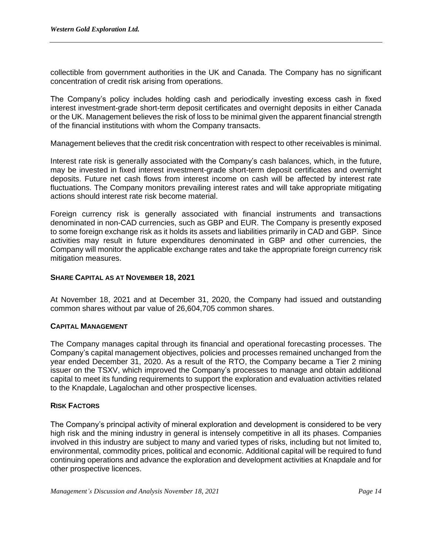collectible from government authorities in the UK and Canada. The Company has no significant concentration of credit risk arising from operations.

The Company's policy includes holding cash and periodically investing excess cash in fixed interest investment-grade short-term deposit certificates and overnight deposits in either Canada or the UK. Management believes the risk of loss to be minimal given the apparent financial strength of the financial institutions with whom the Company transacts.

Management believes that the credit risk concentration with respect to other receivables is minimal.

Interest rate risk is generally associated with the Company's cash balances, which, in the future, may be invested in fixed interest investment-grade short-term deposit certificates and overnight deposits. Future net cash flows from interest income on cash will be affected by interest rate fluctuations. The Company monitors prevailing interest rates and will take appropriate mitigating actions should interest rate risk become material.

Foreign currency risk is generally associated with financial instruments and transactions denominated in non-CAD currencies, such as GBP and EUR. The Company is presently exposed to some foreign exchange risk as it holds its assets and liabilities primarily in CAD and GBP. Since activities may result in future expenditures denominated in GBP and other currencies, the Company will monitor the applicable exchange rates and take the appropriate foreign currency risk mitigation measures.

# **SHARE CAPITAL AS AT NOVEMBER 18, 2021**

At November 18, 2021 and at December 31, 2020, the Company had issued and outstanding common shares without par value of 26,604,705 common shares.

## **CAPITAL MANAGEMENT**

The Company manages capital through its financial and operational forecasting processes. The Company's capital management objectives, policies and processes remained unchanged from the year ended December 31, 2020. As a result of the RTO, the Company became a Tier 2 mining issuer on the TSXV, which improved the Company's processes to manage and obtain additional capital to meet its funding requirements to support the exploration and evaluation activities related to the Knapdale, Lagalochan and other prospective licenses.

# **RISK FACTORS**

The Company's principal activity of mineral exploration and development is considered to be very high risk and the mining industry in general is intensely competitive in all its phases. Companies involved in this industry are subject to many and varied types of risks, including but not limited to, environmental, commodity prices, political and economic. Additional capital will be required to fund continuing operations and advance the exploration and development activities at Knapdale and for other prospective licences.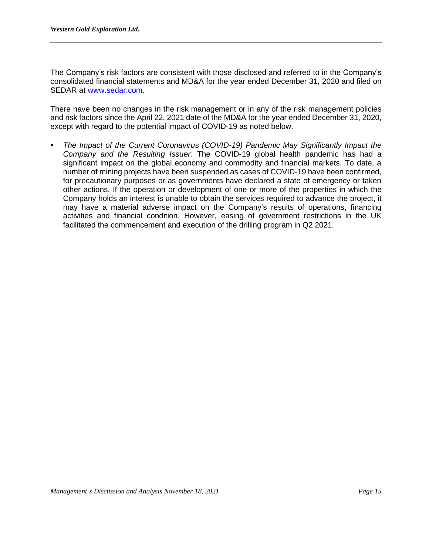The Company's risk factors are consistent with those disclosed and referred to in the Company's consolidated financial statements and MD&A for the year ended December 31, 2020 and filed on SEDAR at [www.sedar.com.](http://www.sedar.com/)

There have been no changes in the risk management or in any of the risk management policies and risk factors since the April 22, 2021 date of the MD&A for the year ended December 31, 2020, except with regard to the potential impact of COVID-19 as noted below.

The Impact of the Current Coronavirus (COVID-19) Pandemic May Significantly Impact the *Company and the Resulting Issuer:* The COVID-19 global health pandemic has had a significant impact on the global economy and commodity and financial markets. To date, a number of mining projects have been suspended as cases of COVID-19 have been confirmed, for precautionary purposes or as governments have declared a state of emergency or taken other actions. If the operation or development of one or more of the properties in which the Company holds an interest is unable to obtain the services required to advance the project, it may have a material adverse impact on the Company's results of operations, financing activities and financial condition. However, easing of government restrictions in the UK facilitated the commencement and execution of the drilling program in Q2 2021.